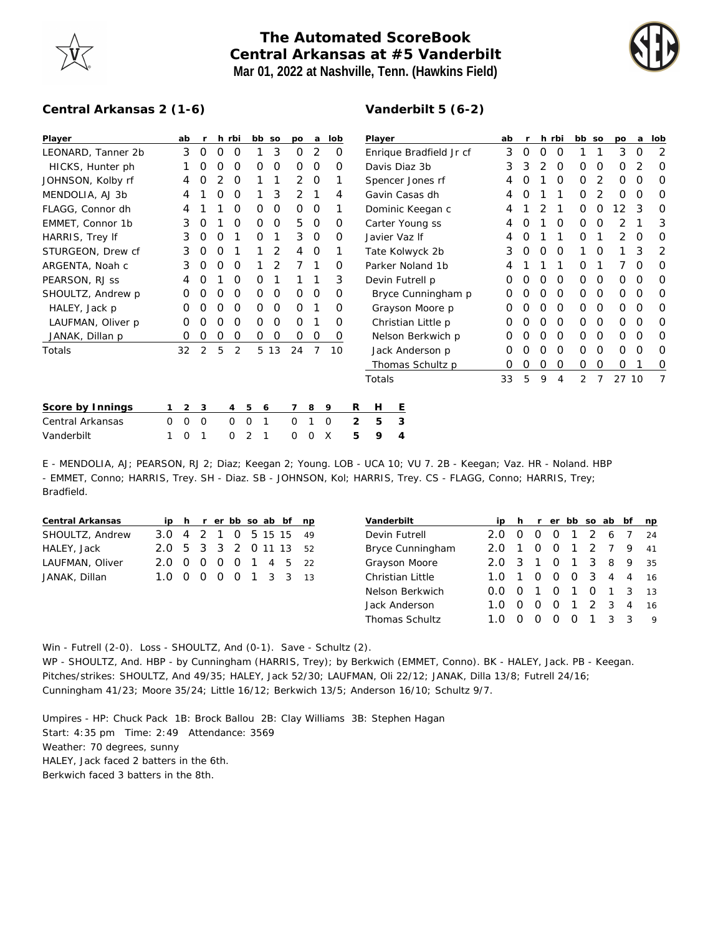## **The Automated ScoreBook Central Arkansas at #5 Vanderbilt Mar 01, 2022 at Nashville, Tenn. (Hawkins Field)**



## **Central Arkansas 2 (1-6)**

## **Vanderbilt 5 (6-2)**

| Player             |   | ab             |          |   | h rbi          | bb so  |               | po             | a       | lob      |   | Player                  |   |                  |  | ab |          |   | h rbi    | bb so          |          | po    | a        | lob |
|--------------------|---|----------------|----------|---|----------------|--------|---------------|----------------|---------|----------|---|-------------------------|---|------------------|--|----|----------|---|----------|----------------|----------|-------|----------|-----|
| LEONARD, Tanner 2b |   | 3              | $\circ$  | 0 | 0              |        | 3             | 0              | 2       | 0        |   | Enrique Bradfield Jr cf |   |                  |  | 3  | $\Omega$ | O | 0        |                |          | 3     | $\Omega$ | 2   |
| HICKS, Hunter ph   |   |                | O        | O | $\Omega$       | 0      | 0             | 0              | O       | O        |   | Davis Diaz 3b           |   |                  |  | 3  | 3        | 2 | O        | 0              | O        | Ο     |          |     |
| JOHNSON, Kolby rf  |   | 4              | 0        |   | 0              |        | 1             | $\overline{2}$ | $\circ$ |          |   | Spencer Jones rf        |   |                  |  |    | Ο        |   | 0        | $\Omega$       | 2        | 0     | 0        | O   |
| MENDOLIA, AJ 3b    |   |                |          |   | 0              |        | 3             | 2              |         | 4        |   | Gavin Casas dh          |   |                  |  |    |          |   |          | 0              | 2        | 0     | 0        | Ω   |
| FLAGG, Connor dh   |   | 4              |          |   | O              | O      | 0             | 0              | 0       |          |   | Dominic Keegan c        |   |                  |  |    |          |   |          | 0              | Ο        | 2     | 3        |     |
| EMMET, Connor 1b   |   | 3              | O        |   | $\Omega$       | O      | $\circ$       | 5              | $\circ$ | $\Omega$ |   | Carter Young ss         |   |                  |  |    |          |   | $\Omega$ | $\Omega$       | O        |       |          | 3   |
| HARRIS, Trey If    |   | 3              | 0        | O |                | O      |               | 3              | 0       | $\Omega$ |   | Javier Vaz If           |   |                  |  |    |          |   |          | 0              |          | 2     | $\Omega$ |     |
| STURGEON, Drew cf  |   | 3              | 0        | 0 |                |        | 2             | 4              | 0       |          |   | Tate Kolwyck 2b         |   |                  |  | 3  | 0        | O | 0        |                | O        |       | 3        | 2   |
| ARGENTA, Noah c    |   | 3              | O        | O | $\Omega$       |        |               |                |         | O        |   | Parker Noland 1b        |   |                  |  |    |          |   |          | Ο              |          |       | O        | O   |
| PEARSON, RJ ss     |   | 4              | O        |   | O              | 0      |               |                |         | 3        |   | Devin Futrell p         |   |                  |  | 0  | O        | O | 0        | $\Omega$       | $\Omega$ | 0     | $\Omega$ | O   |
| SHOULTZ, Andrew p  |   | 0              | 0        | 0 | 0              | 0      | 0             | 0              | 0       | 0        |   | Bryce Cunningham p      |   |                  |  | 0  |          |   | 0        | 0              | 0        | 0     | 0        |     |
| HALEY, Jack p      |   | Ο              |          | O | $\Omega$       | O      | O             | 0              |         | 0        |   | Grayson Moore p         |   |                  |  | O  |          | O | 0        | 0              | $\Omega$ | 0     | $\Omega$ |     |
| LAUFMAN, Oliver p  |   | 0              | O        | O | $\Omega$       | 0      | $\mathcal{O}$ | 0              |         | $\Omega$ |   | Christian Little p      |   |                  |  | 0  |          | Ο | $\Omega$ | $\Omega$       | $\Omega$ | 0     | $\Omega$ | O   |
| JANAK, Dillan p    |   | 0              | 0        | 0 | 0              | 0      | 0             | 0              | 0       | 0        |   | Nelson Berkwich p       |   |                  |  | 0  |          | O | 0        | 0              | 0        | 0     | 0        | O   |
| Totals             |   | 32             | 2        | 5 | 2              |        | 5 13          | 24             | 7       | 10       |   |                         |   | Jack Anderson p  |  | 0  |          | O | 0        | $\Omega$       | $\Omega$ | 0     | $\Omega$ | O   |
|                    |   |                |          |   |                |        |               |                |         |          |   |                         |   | Thomas Schultz p |  | 0  | Ο        | O | O        | 0              | 0        | 0     |          | 0   |
|                    |   |                |          |   |                |        |               |                |         |          |   | Totals                  |   |                  |  | 33 | 5        | 9 | 4        | $\overline{2}$ | 7        | 27 10 |          |     |
|                    |   |                |          |   |                |        |               |                |         |          |   |                         |   |                  |  |    |          |   |          |                |          |       |          |     |
| Score by Innings   |   | $\overline{2}$ | 3        |   | $\overline{4}$ | 5<br>6 |               | 7              | 8       | 9        | R | H                       | Ε |                  |  |    |          |   |          |                |          |       |          |     |
| Central Arkansas   | 0 | $\Omega$       | $\Omega$ |   | $\Omega$       | 0<br>1 |               | $\Omega$       |         | $\Omega$ | 2 | 5                       | 3 |                  |  |    |          |   |          |                |          |       |          |     |
| Vanderbilt         |   | 0              |          |   | 0              | 2      |               | 0              | Ω       | X        | 5 | 9                       | 4 |                  |  |    |          |   |          |                |          |       |          |     |

E - MENDOLIA, AJ; PEARSON, RJ 2; Diaz; Keegan 2; Young. LOB - UCA 10; VU 7. 2B - Keegan; Vaz. HR - Noland. HBP - EMMET, Conno; HARRIS, Trey. SH - Diaz. SB - JOHNSON, Kol; HARRIS, Trey. CS - FLAGG, Conno; HARRIS, Trey; Bradfield.

| Central Arkansas |                        |  |  |  | ip h r er bb so ab bf np |  |
|------------------|------------------------|--|--|--|--------------------------|--|
| SHOULTZ, Andrew  | 3.0 4 2 1 0 5 15 15 49 |  |  |  |                          |  |
| HALEY, Jack      | 2.0 5 3 3 2 0 11 13 52 |  |  |  |                          |  |
| LAUFMAN, Oliver  | 2.0 0 0 0 0 1 4 5 22   |  |  |  |                          |  |
| JANAK, Dillan    | 1.0 0 0 0 0 1 3 3 13   |  |  |  |                          |  |

| Vanderbilt            |     |                  |                  |                  |                |               | ip h r er bb so ab bf |               | np |
|-----------------------|-----|------------------|------------------|------------------|----------------|---------------|-----------------------|---------------|----|
| Devin Futrell         | フO  |                  |                  | O                | $\mathbf{1}$   |               | 2 6                   |               | 24 |
| Bryce Cunningham      | 2.0 |                  | 0                | $\Omega$         | $\overline{1}$ | $\mathcal{P}$ | - 7                   | 9             | 41 |
| Grayson Moore         | 2 O | -3               | $\mathbf{1}$     | O                | $\overline{1}$ | 3             | 8                     | 9             | 35 |
| Christian Little      | 1 O | 1                | $\left( \right)$ | $\Omega$         | $\Omega$       | - 3           | $\overline{4}$        | 4             | 16 |
| Nelson Berkwich       | 0.0 | $\left( \right)$ |                  | O                | 1              | O             | $\overline{1}$        | -3            | 13 |
| Jack Anderson         | 1 O |                  | $\left( \right)$ | O                | 1              |               | 2 3                   | 4             | 16 |
| <b>Thomas Schultz</b> |     |                  |                  | $\left( \right)$ |                |               | 3                     | $\mathcal{R}$ | Q  |

Win - Futrell (2-0). Loss - SHOULTZ, And (0-1). Save - Schultz (2).

WP - SHOULTZ, And. HBP - by Cunningham (HARRIS, Trey); by Berkwich (EMMET, Conno). BK - HALEY, Jack. PB - Keegan. Pitches/strikes: SHOULTZ, And 49/35; HALEY, Jack 52/30; LAUFMAN, Oli 22/12; JANAK, Dilla 13/8; Futrell 24/16; Cunningham 41/23; Moore 35/24; Little 16/12; Berkwich 13/5; Anderson 16/10; Schultz 9/7.

Umpires - HP: Chuck Pack 1B: Brock Ballou 2B: Clay Williams 3B: Stephen Hagan Start: 4:35 pm Time: 2:49 Attendance: 3569 Weather: 70 degrees, sunny HALEY, Jack faced 2 batters in the 6th. Berkwich faced 3 batters in the 8th.